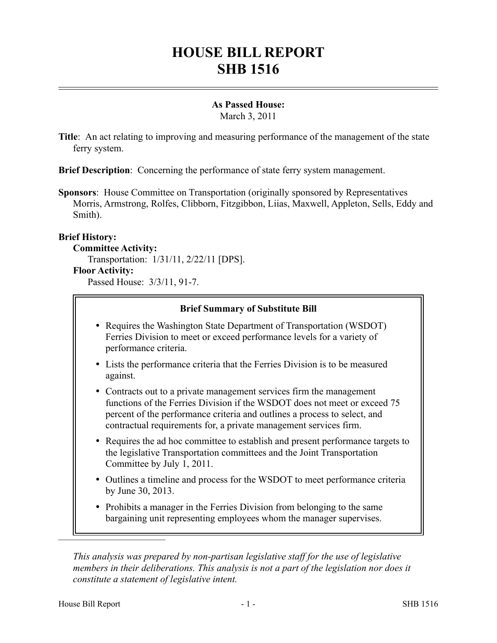# **HOUSE BILL REPORT SHB 1516**

## **As Passed House:**

March 3, 2011

**Title**: An act relating to improving and measuring performance of the management of the state ferry system.

**Brief Description**: Concerning the performance of state ferry system management.

**Sponsors**: House Committee on Transportation (originally sponsored by Representatives Morris, Armstrong, Rolfes, Clibborn, Fitzgibbon, Liias, Maxwell, Appleton, Sells, Eddy and Smith).

### **Brief History:**

**Committee Activity:**

Transportation: 1/31/11, 2/22/11 [DPS].

#### **Floor Activity:**

Passed House: 3/3/11, 91-7.

### **Brief Summary of Substitute Bill**

- Requires the Washington State Department of Transportation (WSDOT) Ferries Division to meet or exceed performance levels for a variety of performance criteria.
- Lists the performance criteria that the Ferries Division is to be measured against.
- Contracts out to a private management services firm the management functions of the Ferries Division if the WSDOT does not meet or exceed 75 percent of the performance criteria and outlines a process to select, and contractual requirements for, a private management services firm.
- Requires the ad hoc committee to establish and present performance targets to the legislative Transportation committees and the Joint Transportation Committee by July 1, 2011.
- Outlines a timeline and process for the WSDOT to meet performance criteria by June 30, 2013.
- Prohibits a manager in the Ferries Division from belonging to the same bargaining unit representing employees whom the manager supervises.

*This analysis was prepared by non-partisan legislative staff for the use of legislative members in their deliberations. This analysis is not a part of the legislation nor does it constitute a statement of legislative intent.*

––––––––––––––––––––––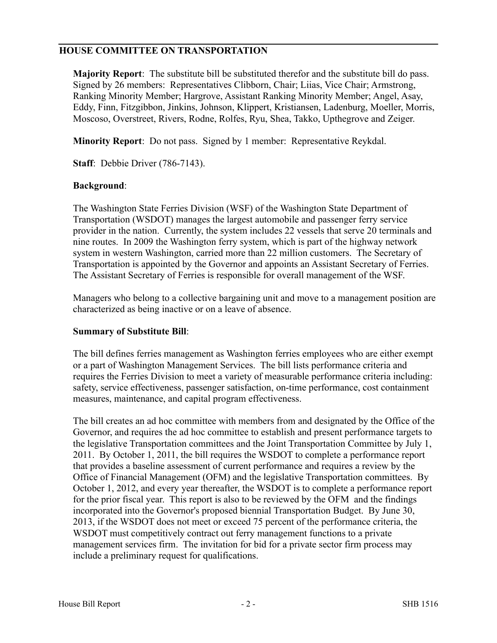## **HOUSE COMMITTEE ON TRANSPORTATION**

**Majority Report**: The substitute bill be substituted therefor and the substitute bill do pass. Signed by 26 members: Representatives Clibborn, Chair; Liias, Vice Chair; Armstrong, Ranking Minority Member; Hargrove, Assistant Ranking Minority Member; Angel, Asay, Eddy, Finn, Fitzgibbon, Jinkins, Johnson, Klippert, Kristiansen, Ladenburg, Moeller, Morris, Moscoso, Overstreet, Rivers, Rodne, Rolfes, Ryu, Shea, Takko, Upthegrove and Zeiger.

**Minority Report**: Do not pass. Signed by 1 member: Representative Reykdal.

**Staff**: Debbie Driver (786-7143).

### **Background**:

The Washington State Ferries Division (WSF) of the Washington State Department of Transportation (WSDOT) manages the largest automobile and passenger ferry service provider in the nation. Currently, the system includes 22 vessels that serve 20 terminals and nine routes. In 2009 the Washington ferry system, which is part of the highway network system in western Washington, carried more than 22 million customers. The Secretary of Transportation is appointed by the Governor and appoints an Assistant Secretary of Ferries. The Assistant Secretary of Ferries is responsible for overall management of the WSF.

Managers who belong to a collective bargaining unit and move to a management position are characterized as being inactive or on a leave of absence.

#### **Summary of Substitute Bill**:

The bill defines ferries management as Washington ferries employees who are either exempt or a part of Washington Management Services. The bill lists performance criteria and requires the Ferries Division to meet a variety of measurable performance criteria including: safety, service effectiveness, passenger satisfaction, on-time performance, cost containment measures, maintenance, and capital program effectiveness.

The bill creates an ad hoc committee with members from and designated by the Office of the Governor, and requires the ad hoc committee to establish and present performance targets to the legislative Transportation committees and the Joint Transportation Committee by July 1, 2011. By October 1, 2011, the bill requires the WSDOT to complete a performance report that provides a baseline assessment of current performance and requires a review by the Office of Financial Management (OFM) and the legislative Transportation committees. By October 1, 2012, and every year thereafter, the WSDOT is to complete a performance report for the prior fiscal year. This report is also to be reviewed by the OFM and the findings incorporated into the Governor's proposed biennial Transportation Budget. By June 30, 2013, if the WSDOT does not meet or exceed 75 percent of the performance criteria, the WSDOT must competitively contract out ferry management functions to a private management services firm. The invitation for bid for a private sector firm process may include a preliminary request for qualifications.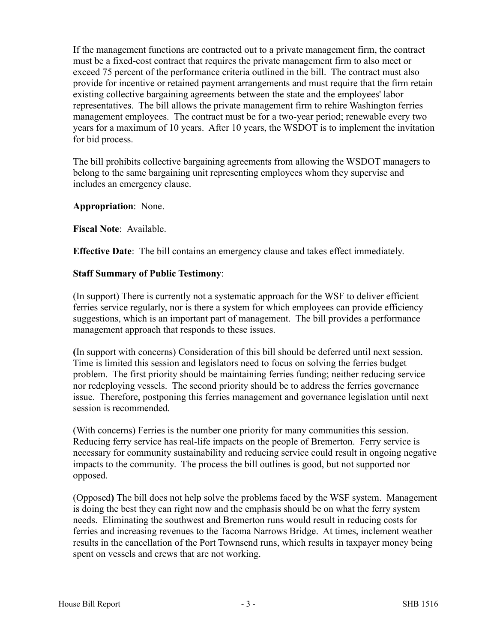If the management functions are contracted out to a private management firm, the contract must be a fixed-cost contract that requires the private management firm to also meet or exceed 75 percent of the performance criteria outlined in the bill. The contract must also provide for incentive or retained payment arrangements and must require that the firm retain existing collective bargaining agreements between the state and the employees' labor representatives. The bill allows the private management firm to rehire Washington ferries management employees. The contract must be for a two-year period; renewable every two years for a maximum of 10 years. After 10 years, the WSDOT is to implement the invitation for bid process.

The bill prohibits collective bargaining agreements from allowing the WSDOT managers to belong to the same bargaining unit representing employees whom they supervise and includes an emergency clause.

**Appropriation**: None.

**Fiscal Note**: Available.

**Effective Date**: The bill contains an emergency clause and takes effect immediately.

### **Staff Summary of Public Testimony**:

(In support) There is currently not a systematic approach for the WSF to deliver efficient ferries service regularly, nor is there a system for which employees can provide efficiency suggestions, which is an important part of management. The bill provides a performance management approach that responds to these issues.

**(**In support with concerns) Consideration of this bill should be deferred until next session. Time is limited this session and legislators need to focus on solving the ferries budget problem. The first priority should be maintaining ferries funding; neither reducing service nor redeploying vessels. The second priority should be to address the ferries governance issue. Therefore, postponing this ferries management and governance legislation until next session is recommended.

(With concerns) Ferries is the number one priority for many communities this session. Reducing ferry service has real-life impacts on the people of Bremerton. Ferry service is necessary for community sustainability and reducing service could result in ongoing negative impacts to the community. The process the bill outlines is good, but not supported nor opposed.

(Opposed**)** The bill does not help solve the problems faced by the WSF system. Management is doing the best they can right now and the emphasis should be on what the ferry system needs. Eliminating the southwest and Bremerton runs would result in reducing costs for ferries and increasing revenues to the Tacoma Narrows Bridge. At times, inclement weather results in the cancellation of the Port Townsend runs, which results in taxpayer money being spent on vessels and crews that are not working.